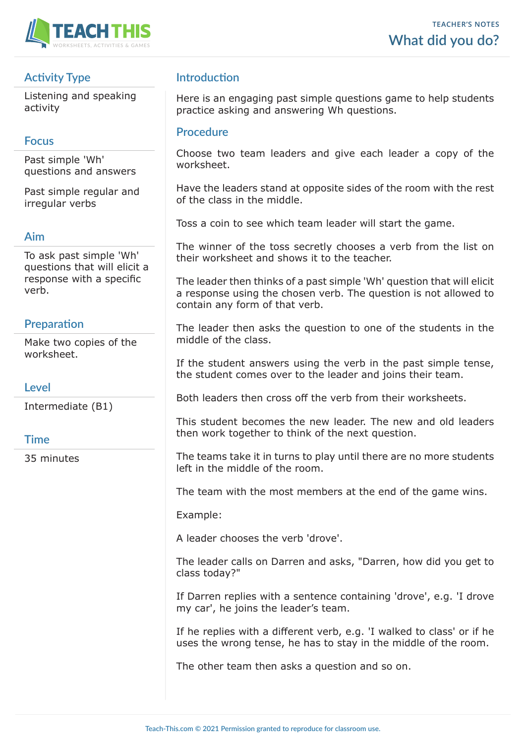

# **Activity Type**

Listening and speaking activity

### **Focus**

Past simple 'Wh' questions and answers

Past simple regular and irregular verbs

#### **Aim**

To ask past simple 'Wh' questions that will elicit a response with a specific verb.

# **Preparation**

Make two copies of the worksheet.

### **Level**

Intermediate (B1)

### **Time**

35 minutes

# **Introduction**

Here is an engaging past simple questions game to help students practice asking and answering Wh questions.

#### **Procedure**

Choose two team leaders and give each leader a copy of the worksheet.

Have the leaders stand at opposite sides of the room with the rest of the class in the middle.

Toss a coin to see which team leader will start the game.

The winner of the toss secretly chooses a verb from the list on their worksheet and shows it to the teacher.

The leader then thinks of a past simple 'Wh' question that will elicit a response using the chosen verb. The question is not allowed to contain any form of that verb.

The leader then asks the question to one of the students in the middle of the class.

If the student answers using the verb in the past simple tense, the student comes over to the leader and joins their team.

Both leaders then cross off the verb from their worksheets.

This student becomes the new leader. The new and old leaders then work together to think of the next question.

The teams take it in turns to play until there are no more students left in the middle of the room.

The team with the most members at the end of the game wins.

Example:

A leader chooses the verb 'drove'.

The leader calls on Darren and asks, "Darren, how did you get to class today?"

If Darren replies with a sentence containing 'drove', e.g. 'I drove my car', he joins the leader's team.

If he replies with a different verb, e.g. 'I walked to class' or if he uses the wrong tense, he has to stay in the middle of the room.

The other team then asks a question and so on.